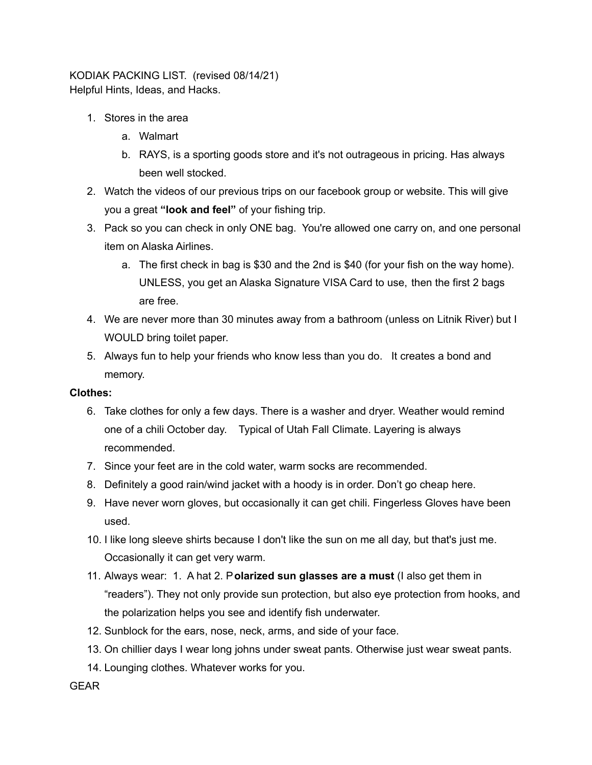KODIAK PACKING LIST. (revised 08/14/21) Helpful Hints, Ideas, and Hacks.

- 1. Stores in the area
	- a. Walmart
	- b. RAYS, is a sporting goods store and it's not outrageous in pricing. Has always been well stocked.
- 2. Watch the videos of our previous trips on our facebook group or website. This will give you a great **"look and feel"** of your fishing trip.
- 3. Pack so you can check in only ONE bag. You're allowed one carry on, and one personal item on Alaska Airlines.
	- a. The first check in bag is \$30 and the 2nd is \$40 (for your fish on the way home). UNLESS, you get an Alaska Signature VISA Card to use, then the first 2 bags are free.
- 4. We are never more than 30 minutes away from a bathroom (unless on Litnik River) but I WOULD bring toilet paper.
- 5. Always fun to help your friends who know less than you do. It creates a bond and memory.

## **Clothes:**

- 6. Take clothes for only a few days. There is a washer and dryer. Weather would remind one of a chili October day. Typical of Utah Fall Climate. Layering is always recommended.
- 7. Since your feet are in the cold water, warm socks are recommended.
- 8. Definitely a good rain/wind jacket with a hoody is in order. Don't go cheap here.
- 9. Have never worn gloves, but occasionally it can get chili. Fingerless Gloves have been used.
- 10. I like long sleeve shirts because I don't like the sun on me all day, but that's just me. Occasionally it can get very warm.
- 11. Always wear: 1. A hat 2. P**olarized sun glasses are a must** (I also get them in "readers"). They not only provide sun protection, but also eye protection from hooks, and the polarization helps you see and identify fish underwater.
- 12. Sunblock for the ears, nose, neck, arms, and side of your face.
- 13. On chillier days I wear long johns under sweat pants. Otherwise just wear sweat pants.
- 14. Lounging clothes. Whatever works for you.

GEAR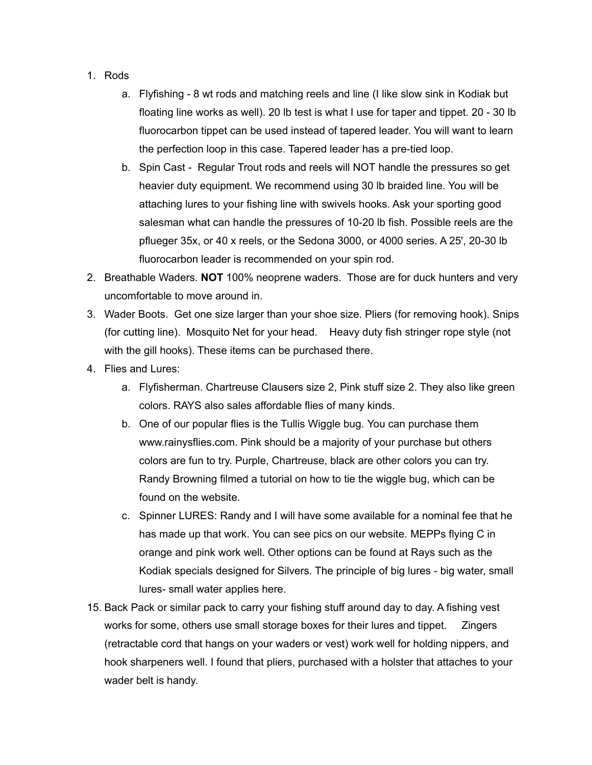- 1. Rods
	- a. Flyfishing 8 wt rods and matching reels and line (I like slow sink in Kodiak but floating line works as well). 20 lb test is what I use for taper and tippet. 20 - 30 lb fluorocarbon tippet can be used instead of tapered leader. You will want to learn the perfection loop in this case. Tapered leader has a pre-tied loop.
	- b. Spin Cast Regular Trout rods and reels will NOT handle the pressures so get heavier duty equipment. We recommend using 30 lb braided line. You will be attaching lures to your fishing line with swivels hooks. Ask your sporting good salesman what can handle the pressures of 10-20 lb fish. Possible reels are the pflueger 35x, or 40 x reels, or the Sedona 3000, or 4000 series. A 25', 20-30 lb fluorocarbon leader is recommended on your spin rod.
- 2. Breathable Waders. **NOT** 100% neoprene waders. Those are for duck hunters and very uncomfortable to move around in.
- 3. Wader Boots. Get one size larger than your shoe size. Pliers (for removing hook). Snips (for cutting line). Mosquito Net for your head. Heavy duty fish stringer rope style (not with the gill hooks). These items can be purchased there.
- 4. Flies and Lures:
	- a. Flyfisherman. Chartreuse Clausers size 2, Pink stuff size 2. They also like green colors. RAYS also sales affordable flies of many kinds.
	- b. One of our popular flies is the Tullis Wiggle bug. You can purchase them www.rainysflies.com. Pink should be a majority of your purchase but others colors are fun to try. Purple, Chartreuse, black are other colors you can try. Randy Browning filmed a tutorial on how to tie the wiggle bug, which can be found on the website.
	- c. Spinner LURES: Randy and I will have some available for a nominal fee that he has made up that work. You can see pics on our website. MEPPs flying C in orange and pink work well. Other options can be found at Rays such as the Kodiak specials designed for Silvers. The principle of big lures - big water, small lures- small water applies here.
- 15. Back Pack or similar pack to carry your fishing stuff around day to day. A fishing vest works for some, others use small storage boxes for their lures and tippet. Zingers (retractable cord that hangs on your waders or vest) work well for holding nippers, and hook sharpeners well. I found that pliers, purchased with a holster that attaches to your wader belt is handy.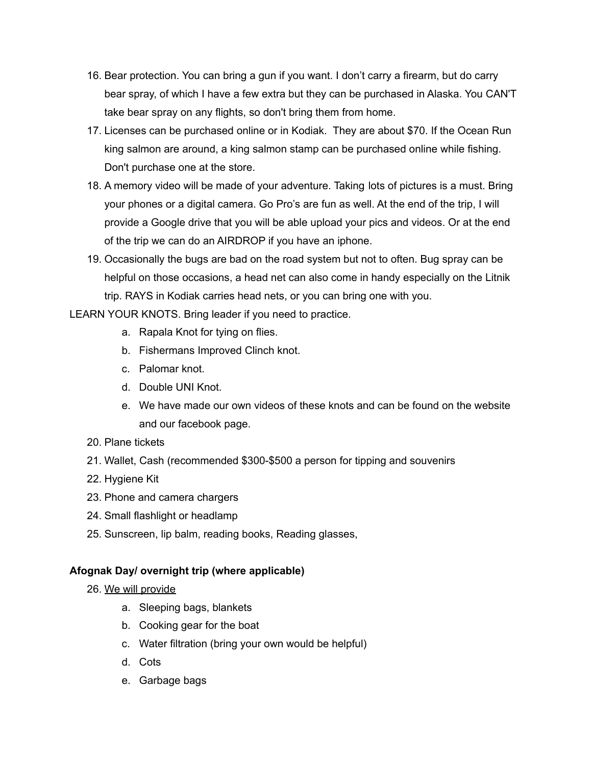- 16. Bear protection. You can bring a gun if you want. I don't carry a firearm, but do carry bear spray, of which I have a few extra but they can be purchased in Alaska. You CAN'T take bear spray on any flights, so don't bring them from home.
- 17. Licenses can be purchased online or in Kodiak. They are about \$70. If the Ocean Run king salmon are around, a king salmon stamp can be purchased online while fishing. Don't purchase one at the store.
- 18. A memory video will be made of your adventure. Taking lots of pictures is a must. Bring your phones or a digital camera. Go Pro's are fun as well. At the end of the trip, I will provide a Google drive that you will be able upload your pics and videos. Or at the end of the trip we can do an AIRDROP if you have an iphone.
- 19. Occasionally the bugs are bad on the road system but not to often. Bug spray can be helpful on those occasions, a head net can also come in handy especially on the Litnik trip. RAYS in Kodiak carries head nets, or you can bring one with you.

LEARN YOUR KNOTS. Bring leader if you need to practice.

- a. Rapala Knot for tying on flies.
- b. Fishermans Improved Clinch knot.
- c. Palomar knot.
- d. Double UNI Knot.
- e. We have made our own videos of these knots and can be found on the website and our facebook page.
- 20. Plane tickets
- 21. Wallet, Cash (recommended \$300-\$500 a person for tipping and souvenirs
- 22. Hygiene Kit
- 23. Phone and camera chargers
- 24. Small flashlight or headlamp
- 25. Sunscreen, lip balm, reading books, Reading glasses,

## **Afognak Day/ overnight trip (where applicable)**

- 26. We will provide
	- a. Sleeping bags, blankets
	- b. Cooking gear for the boat
	- c. Water filtration (bring your own would be helpful)
	- d. Cots
	- e. Garbage bags